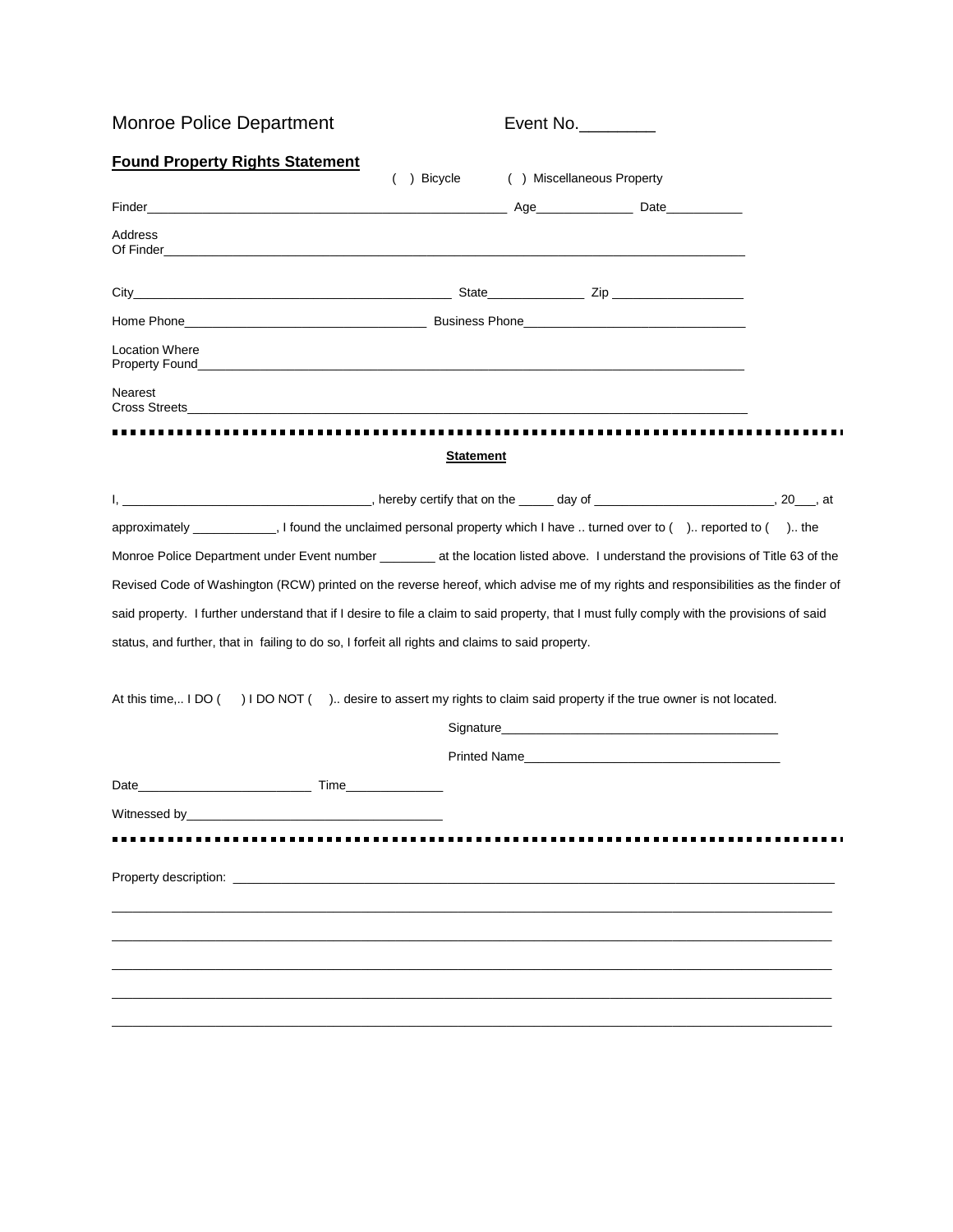| <b>Monroe Police Department</b>                                                                                                                                                                                                     |             | Event No.        |                            |  |
|-------------------------------------------------------------------------------------------------------------------------------------------------------------------------------------------------------------------------------------|-------------|------------------|----------------------------|--|
| <b>Found Property Rights Statement</b>                                                                                                                                                                                              | ( ) Bicycle |                  | ( ) Miscellaneous Property |  |
|                                                                                                                                                                                                                                     |             |                  |                            |  |
| Address                                                                                                                                                                                                                             |             |                  |                            |  |
|                                                                                                                                                                                                                                     |             |                  |                            |  |
|                                                                                                                                                                                                                                     |             |                  |                            |  |
| <b>Location Where</b>                                                                                                                                                                                                               |             |                  |                            |  |
| <b>Nearest</b>                                                                                                                                                                                                                      |             |                  |                            |  |
|                                                                                                                                                                                                                                     |             | <b>Statement</b> |                            |  |
|                                                                                                                                                                                                                                     |             |                  |                            |  |
| approximately _____________, I found the unclaimed personal property which I have  turned over to () reported to () the                                                                                                             |             |                  |                            |  |
| Monroe Police Department under Event number ________ at the location listed above. I understand the provisions of Title 63 of the                                                                                                   |             |                  |                            |  |
| Revised Code of Washington (RCW) printed on the reverse hereof, which advise me of my rights and responsibilities as the finder of                                                                                                  |             |                  |                            |  |
| said property. I further understand that if I desire to file a claim to said property, that I must fully comply with the provisions of said                                                                                         |             |                  |                            |  |
| status, and further, that in failing to do so, I forfeit all rights and claims to said property.                                                                                                                                    |             |                  |                            |  |
| At this time, I DO () I DO NOT (). desire to assert my rights to claim said property if the true owner is not located.                                                                                                              |             |                  |                            |  |
|                                                                                                                                                                                                                                     |             |                  |                            |  |
|                                                                                                                                                                                                                                     |             |                  |                            |  |
|                                                                                                                                                                                                                                     |             |                  |                            |  |
| Witnessed by_                                                                                                                                                                                                                       |             |                  |                            |  |
|                                                                                                                                                                                                                                     |             |                  |                            |  |
| <b>Property description:</b> The contract of the contract of the contract of the contract of the contract of the contract of the contract of the contract of the contract of the contract of the contract of the contract of the co |             |                  |                            |  |
|                                                                                                                                                                                                                                     |             |                  |                            |  |
|                                                                                                                                                                                                                                     |             |                  |                            |  |
|                                                                                                                                                                                                                                     |             |                  |                            |  |
|                                                                                                                                                                                                                                     |             |                  |                            |  |
|                                                                                                                                                                                                                                     |             |                  |                            |  |